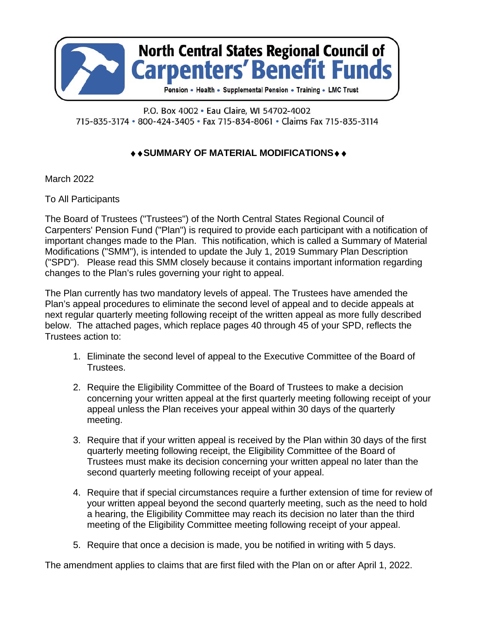

#### P.O. Box 4002 · Eau Claire, WI 54702-4002 715-835-3174 · 800-424-3405 · Fax 715-834-8061 · Claims Fax 715-835-3114

### **◆◆SUMMARY OF MATERIAL MODIFICATIONS◆◆**

March 2022

To All Participants

The Board of Trustees ("Trustees") of the North Central States Regional Council of Carpenters' Pension Fund ("Plan") is required to provide each participant with a notification of important changes made to the Plan. This notification, which is called a Summary of Material Modifications ("SMM"), is intended to update the July 1, 2019 Summary Plan Description ("SPD"). Please read this SMM closely because it contains important information regarding changes to the Plan's rules governing your right to appeal.

The Plan currently has two mandatory levels of appeal. The Trustees have amended the Plan's appeal procedures to eliminate the second level of appeal and to decide appeals at next regular quarterly meeting following receipt of the written appeal as more fully described below. The attached pages, which replace pages 40 through 45 of your SPD, reflects the Trustees action to:

- 1. Eliminate the second level of appeal to the Executive Committee of the Board of Trustees.
- 2. Require the Eligibility Committee of the Board of Trustees to make a decision concerning your written appeal at the first quarterly meeting following receipt of your appeal unless the Plan receives your appeal within 30 days of the quarterly meeting.
- 3. Require that if your written appeal is received by the Plan within 30 days of the first quarterly meeting following receipt, the Eligibility Committee of the Board of Trustees must make its decision concerning your written appeal no later than the second quarterly meeting following receipt of your appeal.
- 4. Require that if special circumstances require a further extension of time for review of your written appeal beyond the second quarterly meeting, such as the need to hold a hearing, the Eligibility Committee may reach its decision no later than the third meeting of the Eligibility Committee meeting following receipt of your appeal.
- 5. Require that once a decision is made, you be notified in writing with 5 days.

The amendment applies to claims that are first filed with the Plan on or after April 1, 2022.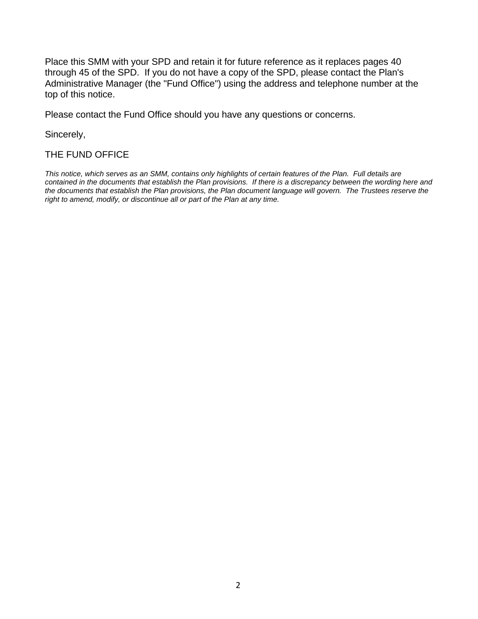Place this SMM with your SPD and retain it for future reference as it replaces pages 40 through 45 of the SPD. If you do not have a copy of the SPD, please contact the Plan's Administrative Manager (the "Fund Office") using the address and telephone number at the top of this notice.

Please contact the Fund Office should you have any questions or concerns.

Sincerely,

#### THE FUND OFFICE

*This notice, which serves as an SMM, contains only highlights of certain features of the Plan. Full details are contained in the documents that establish the Plan provisions. If there is a discrepancy between the wording here and the documents that establish the Plan provisions, the Plan document language will govern. The Trustees reserve the right to amend, modify, or discontinue all or part of the Plan at any time.*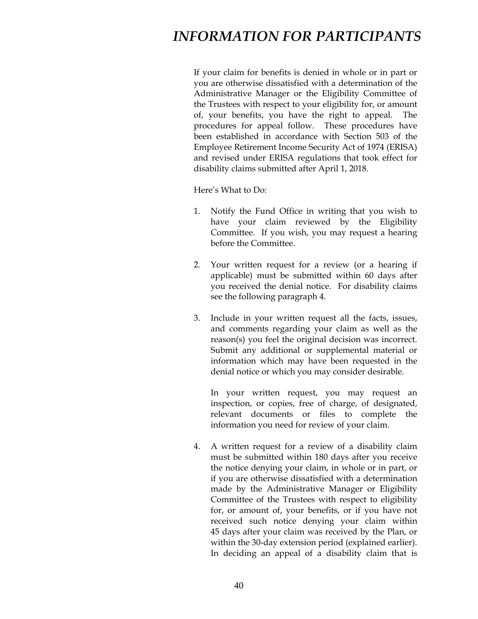If your claim for benefits is denied in whole or in part or you are otherwise dissatisfied with a determination of the Administrative Manager or the Eligibility Committee of the Trustees with respect to your eligibility for, or amount of, your benefits, you have the right to appeal. The procedures for appeal follow. These procedures have been established in accordance with Section 503 of the Employee Retirement Income Security Act of 1974 (ERISA) and revised under ERISA regulations that took effect for disability claims submitted after April 1, 2018.

Here's What to Do:

- 1. Notify the Fund Office in writing that you wish to have your claim reviewed by the Eligibility Committee. If you wish, you may request a hearing before the Committee.
- 2. Your written request for a review (or a hearing if applicable) must be submitted within 60 days after you received the denial notice. For disability claims see the following paragraph 4.
- 3. Include in your written request all the facts, issues, and comments regarding your claim as well as the reason(s) you feel the original decision was incorrect. Submit any additional or supplemental material or information which may have been requested in the denial notice or which you may consider desirable.

 In your written request, you may request an inspection, or copies, free of charge, of designated, relevant documents or files to complete the information you need for review of your claim.

 4. A written request for a review of a disability claim must be submitted within 180 days after you receive the notice denying your claim, in whole or in part, or if you are otherwise dissatisfied with a determination made by the Administrative Manager or Eligibility Committee of the Trustees with respect to eligibility for, or amount of, your benefits, or if you have not received such notice denying your claim within 45 days after your claim was received by the Plan, or within the 30-day extension period (explained earlier). In deciding an appeal of a disability claim that is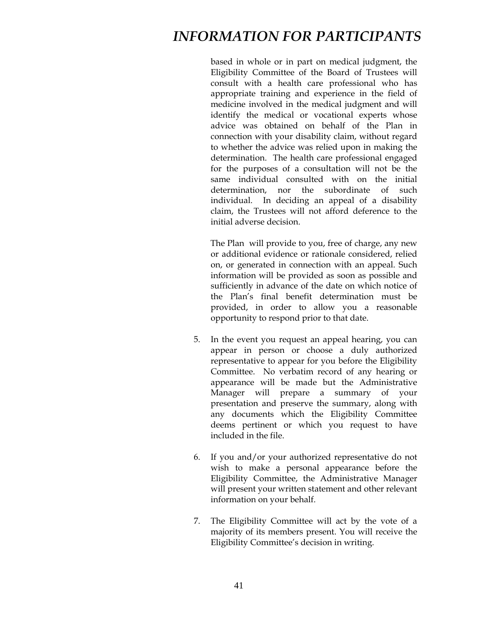based in whole or in part on medical judgment, the Eligibility Committee of the Board of Trustees will consult with a health care professional who has appropriate training and experience in the field of medicine involved in the medical judgment and will identify the medical or vocational experts whose advice was obtained on behalf of the Plan in connection with your disability claim, without regard to whether the advice was relied upon in making the determination. The health care professional engaged for the purposes of a consultation will not be the same individual consulted with on the initial determination, nor the subordinate of such individual. In deciding an appeal of a disability claim, the Trustees will not afford deference to the initial adverse decision.

The Plan will provide to you, free of charge, any new or additional evidence or rationale considered, relied on, or generated in connection with an appeal. Such information will be provided as soon as possible and sufficiently in advance of the date on which notice of the Plan's final benefit determination must be provided, in order to allow you a reasonable opportunity to respond prior to that date.

- 5. In the event you request an appeal hearing, you can appear in person or choose a duly authorized representative to appear for you before the Eligibility Committee. No verbatim record of any hearing or appearance will be made but the Administrative Manager will prepare a summary of your presentation and preserve the summary, along with any documents which the Eligibility Committee deems pertinent or which you request to have included in the file.
- 6. If you and/or your authorized representative do not wish to make a personal appearance before the Eligibility Committee, the Administrative Manager will present your written statement and other relevant information on your behalf.
- 7. The Eligibility Committee will act by the vote of a majority of its members present. You will receive the Eligibility Committee's decision in writing.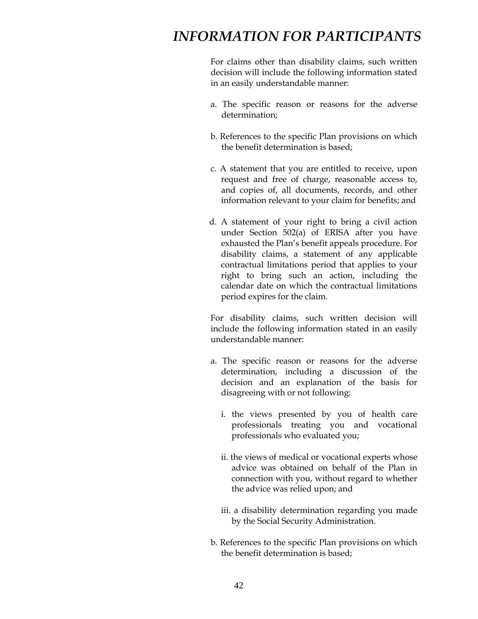For claims other than disability claims, such written decision will include the following information stated in an easily understandable manner:

- a. The specific reason or reasons for the adverse determination;
- b. References to the specific Plan provisions on which the benefit determination is based;
- c. A statement that you are entitled to receive, upon request and free of charge, reasonable access to, and copies of, all documents, records, and other information relevant to your claim for benefits; and
- d. A statement of your right to bring a civil action under Section 502(a) of ERISA after you have exhausted the Plan's benefit appeals procedure. For disability claims, a statement of any applicable contractual limitations period that applies to your right to bring such an action, including the calendar date on which the contractual limitations period expires for the claim.

For disability claims, such written decision will include the following information stated in an easily understandable manner:

- a. The specific reason or reasons for the adverse determination, including a discussion of the decision and an explanation of the basis for disagreeing with or not following:
	- i. the views presented by you of health care professionals treating you and vocational professionals who evaluated you;
	- ii. the views of medical or vocational experts whose advice was obtained on behalf of the Plan in connection with you, without regard to whether the advice was relied upon; and
	- iii. a disability determination regarding you made by the Social Security Administration.
- b. References to the specific Plan provisions on which the benefit determination is based;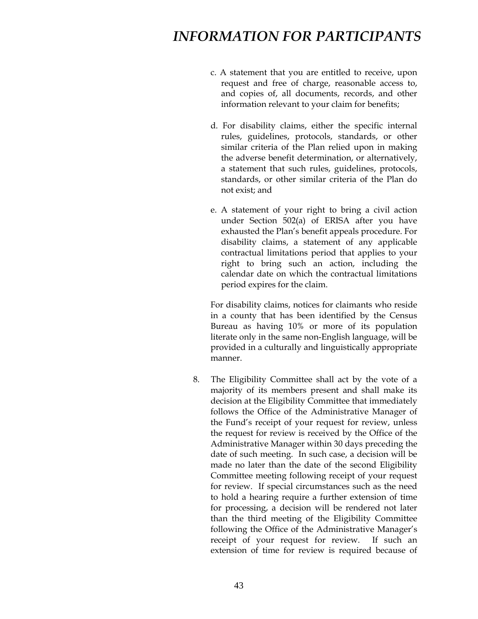- c. A statement that you are entitled to receive, upon request and free of charge, reasonable access to, and copies of, all documents, records, and other information relevant to your claim for benefits;
- d. For disability claims, either the specific internal rules, guidelines, protocols, standards, or other similar criteria of the Plan relied upon in making the adverse benefit determination, or alternatively, a statement that such rules, guidelines, protocols, standards, or other similar criteria of the Plan do not exist; and
- e. A statement of your right to bring a civil action under Section 502(a) of ERISA after you have exhausted the Plan's benefit appeals procedure. For disability claims, a statement of any applicable contractual limitations period that applies to your right to bring such an action, including the calendar date on which the contractual limitations period expires for the claim.

For disability claims, notices for claimants who reside in a county that has been identified by the Census Bureau as having 10% or more of its population literate only in the same non-English language, will be provided in a culturally and linguistically appropriate manner.

 8. The Eligibility Committee shall act by the vote of a majority of its members present and shall make its decision at the Eligibility Committee that immediately follows the Office of the Administrative Manager of the Fund's receipt of your request for review, unless the request for review is received by the Office of the Administrative Manager within 30 days preceding the date of such meeting. In such case, a decision will be made no later than the date of the second Eligibility Committee meeting following receipt of your request for review. If special circumstances such as the need to hold a hearing require a further extension of time for processing, a decision will be rendered not later than the third meeting of the Eligibility Committee following the Office of the Administrative Manager's receipt of your request for review. If such an extension of time for review is required because of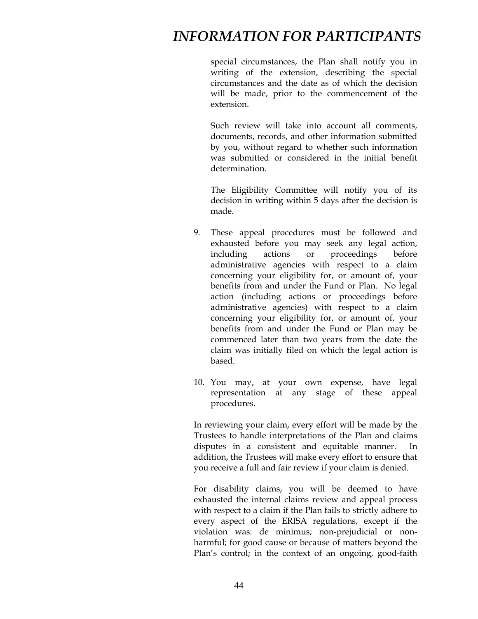special circumstances, the Plan shall notify you in writing of the extension, describing the special circumstances and the date as of which the decision will be made, prior to the commencement of the extension.

Such review will take into account all comments, documents, records, and other information submitted by you, without regard to whether such information was submitted or considered in the initial benefit determination.

The Eligibility Committee will notify you of its decision in writing within 5 days after the decision is made.

- 9. These appeal procedures must be followed and exhausted before you may seek any legal action, including actions or proceedings before administrative agencies with respect to a claim concerning your eligibility for, or amount of, your benefits from and under the Fund or Plan. No legal action (including actions or proceedings before administrative agencies) with respect to a claim concerning your eligibility for, or amount of, your benefits from and under the Fund or Plan may be commenced later than two years from the date the claim was initially filed on which the legal action is based.
- 10. You may, at your own expense, have legal representation at any stage of these appeal procedures.

 In reviewing your claim, every effort will be made by the Trustees to handle interpretations of the Plan and claims disputes in a consistent and equitable manner. In addition, the Trustees will make every effort to ensure that you receive a full and fair review if your claim is denied.

For disability claims, you will be deemed to have exhausted the internal claims review and appeal process with respect to a claim if the Plan fails to strictly adhere to every aspect of the ERISA regulations, except if the violation was: de minimus; non-prejudicial or nonharmful; for good cause or because of matters beyond the Plan's control; in the context of an ongoing, good-faith